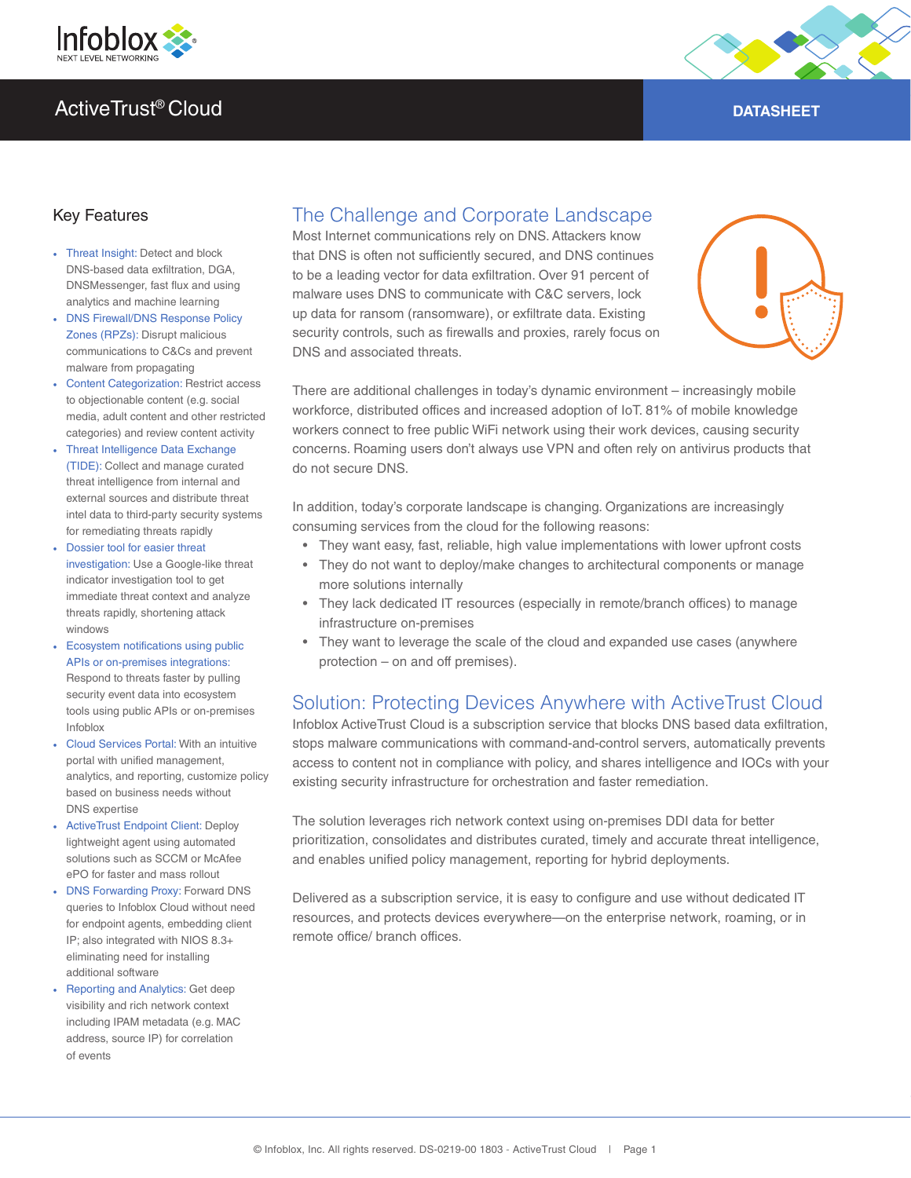



### Key Features

- Threat Insight: Detect and block DNS-based data exfiltration, DGA, DNSMessenger, fast flux and using analytics and machine learning
- DNS Firewall/DNS Response Policy Zones (RPZs): Disrupt malicious communications to C&Cs and prevent malware from propagating
- Content Categorization: Restrict access to objectionable content (e.g. social media, adult content and other restricted categories) and review content activity
- Threat Intelligence Data Exchange (TIDE): Collect and manage curated threat intelligence from internal and external sources and distribute threat intel data to third-party security systems for remediating threats rapidly
- Dossier tool for easier threat investigation: Use a Google-like threat indicator investigation tool to get immediate threat context and analyze threats rapidly, shortening attack windows
- Ecosystem notifications using public APIs or on-premises integrations: Respond to threats faster by pulling security event data into ecosystem tools using public APIs or on-premises Infoblox
- Cloud Services Portal: With an intuitive portal with unified management, analytics, and reporting, customize policy based on business needs without DNS expertise
- ActiveTrust Endpoint Client: Deploy lightweight agent using automated solutions such as SCCM or McAfee ePO for faster and mass rollout
- DNS Forwarding Proxy: Forward DNS queries to Infoblox Cloud without need for endpoint agents, embedding client IP; also integrated with NIOS 8.3+ eliminating need for installing additional software
- Reporting and Analytics: Get deep visibility and rich network context including IPAM metadata (e.g. MAC address, source IP) for correlation of events

# The Challenge and Corporate Landscape

Most Internet communications rely on DNS. Attackers know that DNS is often not sufficiently secured, and DNS continues to be a leading vector for data exfiltration. Over 91 percent of malware uses DNS to communicate with C&C servers, lock up data for ransom (ransomware), or exfiltrate data. Existing security controls, such as firewalls and proxies, rarely focus on DNS and associated threats.



There are additional challenges in today's dynamic environment – increasingly mobile workforce, distributed offices and increased adoption of IoT. 81% of mobile knowledge workers connect to free public WiFi network using their work devices, causing security concerns. Roaming users don't always use VPN and often rely on antivirus products that do not secure DNS.

In addition, today's corporate landscape is changing. Organizations are increasingly consuming services from the cloud for the following reasons:

- They want easy, fast, reliable, high value implementations with lower upfront costs
- They do not want to deploy/make changes to architectural components or manage more solutions internally
- They lack dedicated IT resources (especially in remote/branch offices) to manage infrastructure on-premises
- They want to leverage the scale of the cloud and expanded use cases (anywhere protection – on and off premises).

# Solution: Protecting Devices Anywhere with ActiveTrust Cloud

Infoblox ActiveTrust Cloud is a subscription service that blocks DNS based data exfiltration, stops malware communications with command-and-control servers, automatically prevents access to content not in compliance with policy, and shares intelligence and IOCs with your existing security infrastructure for orchestration and faster remediation.

The solution leverages rich network context using on-premises DDI data for better prioritization, consolidates and distributes curated, timely and accurate threat intelligence, and enables unified policy management, reporting for hybrid deployments.

Delivered as a subscription service, it is easy to configure and use without dedicated IT resources, and protects devices everywhere—on the enterprise network, roaming, or in remote office/ branch offices.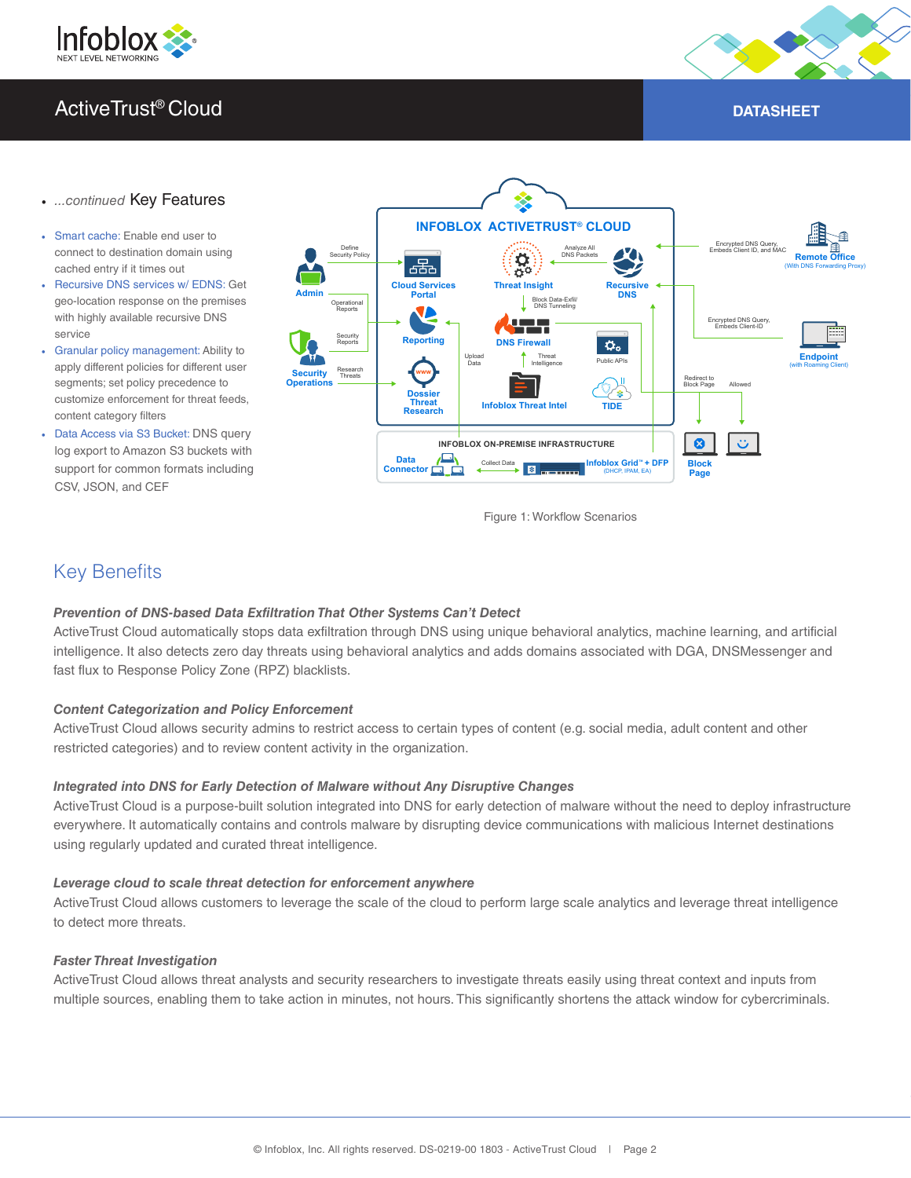



#### • *...continued* Key Features

- Smart cache: Enable end user to connect to destination domain using cached entry if it times out
- Recursive DNS services w/ EDNS: Get geo-location response on the premises with highly available recursive DNS service
- Granular policy management: Ability to apply different policies for different user segments; set policy precedence to customize enforcement for threat feeds, content category filters
- Data Access via S3 Bucket: DNS query log export to Amazon S3 buckets with support for common formats including CSV, JSON, and CEF



Figure 1: Workflow Scenarios

### Key Benefits

#### *Prevention of DNS-based Data Exfiltration That Other Systems Can't Detect*

ActiveTrust Cloud automatically stops data exfiltration through DNS using unique behavioral analytics, machine learning, and artificial intelligence. It also detects zero day threats using behavioral analytics and adds domains associated with DGA, DNSMessenger and fast flux to Response Policy Zone (RPZ) blacklists.

#### *Content Categorization and Policy Enforcement*

ActiveTrust Cloud allows security admins to restrict access to certain types of content (e.g. social media, adult content and other restricted categories) and to review content activity in the organization.

#### *Integrated into DNS for Early Detection of Malware without Any Disruptive Changes*

ActiveTrust Cloud is a purpose-built solution integrated into DNS for early detection of malware without the need to deploy infrastructure everywhere. It automatically contains and controls malware by disrupting device communications with malicious Internet destinations using regularly updated and curated threat intelligence.

#### *Leverage cloud to scale threat detection for enforcement anywhere*

ActiveTrust Cloud allows customers to leverage the scale of the cloud to perform large scale analytics and leverage threat intelligence to detect more threats.

#### *Faster Threat Investigation*

ActiveTrust Cloud allows threat analysts and security researchers to investigate threats easily using threat context and inputs from multiple sources, enabling them to take action in minutes, not hours. This significantly shortens the attack window for cybercriminals.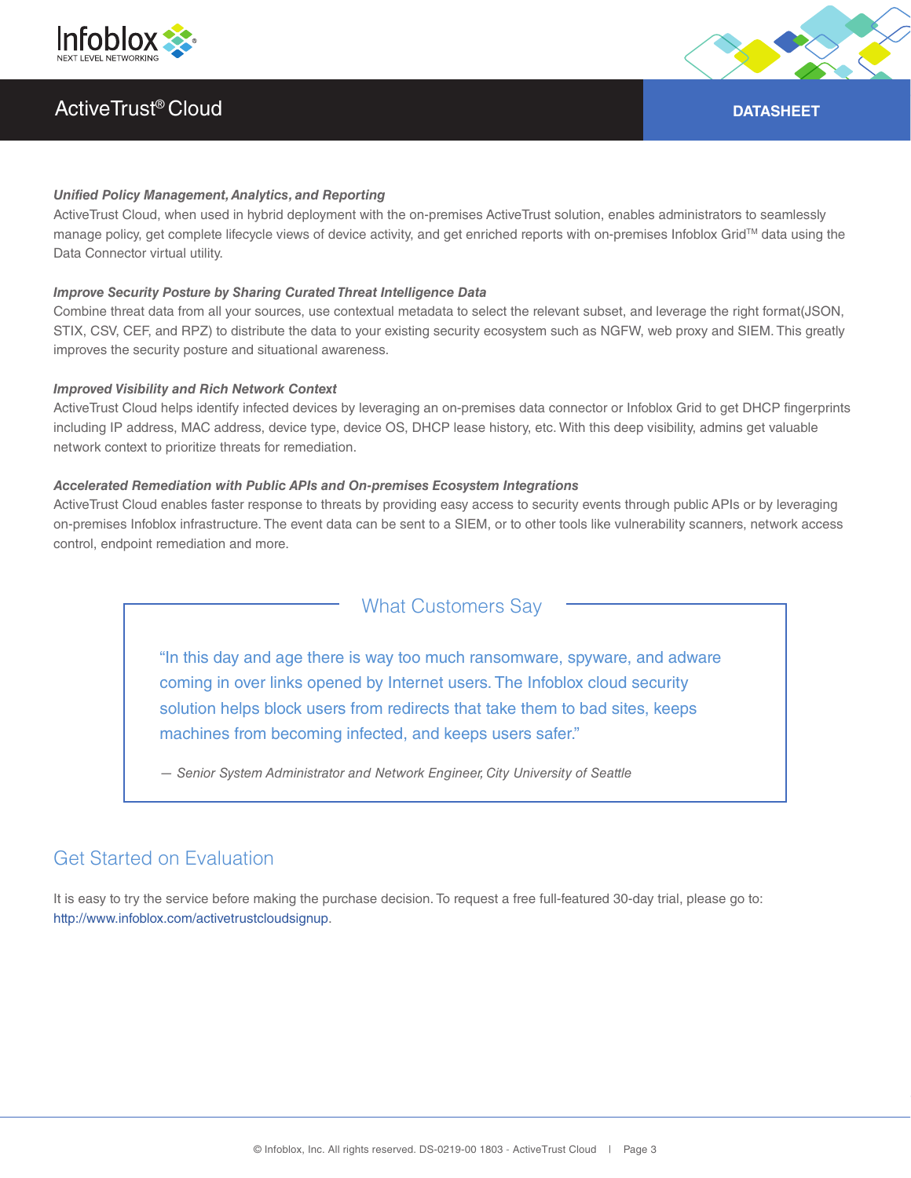



#### *Unified Policy Management, Analytics, and Reporting*

ActiveTrust Cloud, when used in hybrid deployment with the on-premises ActiveTrust solution, enables administrators to seamlessly manage policy, get complete lifecycle views of device activity, and get enriched reports with on-premises Infoblox Grid™ data using the Data Connector virtual utility.

#### *Improve Security Posture by Sharing Curated Threat Intelligence Data*

Combine threat data from all your sources, use contextual metadata to select the relevant subset, and leverage the right format(JSON, STIX, CSV, CEF, and RPZ) to distribute the data to your existing security ecosystem such as NGFW, web proxy and SIEM. This greatly improves the security posture and situational awareness.

#### *Improved Visibility and Rich Network Context*

ActiveTrust Cloud helps identify infected devices by leveraging an on-premises data connector or Infoblox Grid to get DHCP fingerprints including IP address, MAC address, device type, device OS, DHCP lease history, etc. With this deep visibility, admins get valuable network context to prioritize threats for remediation.

#### *Accelerated Remediation with Public APIs and On-premises Ecosystem Integrations*

ActiveTrust Cloud enables faster response to threats by providing easy access to security events through public APIs or by leveraging on-premises Infoblox infrastructure. The event data can be sent to a SIEM, or to other tools like vulnerability scanners, network access control, endpoint remediation and more.

What Customers Say

"In this day and age there is way too much ransomware, spyware, and adware coming in over links opened by Internet users. The Infoblox cloud security solution helps block users from redirects that take them to bad sites, keeps machines from becoming infected, and keeps users safer."

*— Senior System Administrator and Network Engineer, City University of Seattle*

# Get Started on Evaluation

It is easy to try the service before making the purchase decision. To request a free full-featured 30-day trial, please go to: http://www.infoblox.com/activetrustcloudsignup.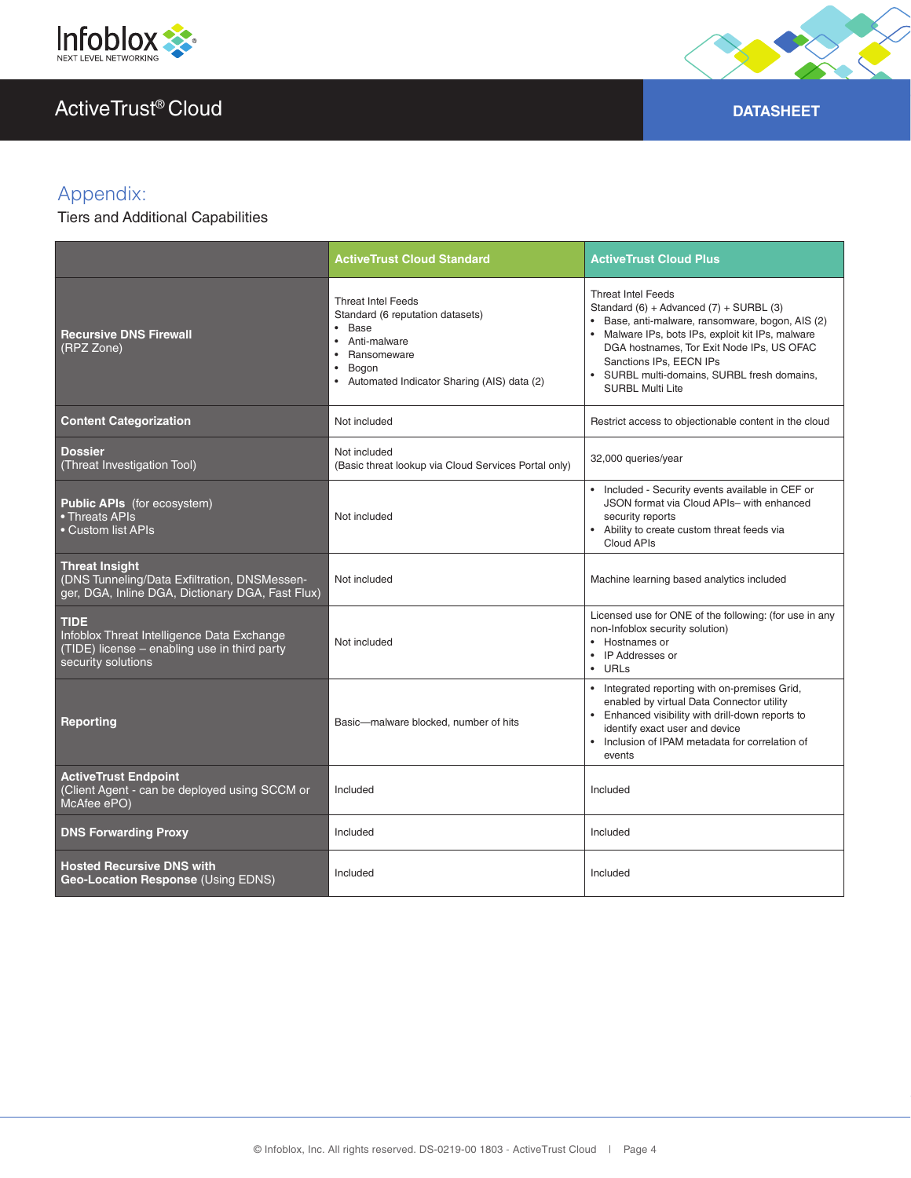



# Appendix:

Tiers and Additional Capabilities

|                                                                                                                           | <b>ActiveTrust Cloud Standard</b>                                                                                                                                                                  | <b>ActiveTrust Cloud Plus</b>                                                                                                                                                                                                                                                                                                   |
|---------------------------------------------------------------------------------------------------------------------------|----------------------------------------------------------------------------------------------------------------------------------------------------------------------------------------------------|---------------------------------------------------------------------------------------------------------------------------------------------------------------------------------------------------------------------------------------------------------------------------------------------------------------------------------|
| <b>Recursive DNS Firewall</b><br>(RPZ Zone)                                                                               | <b>Threat Intel Feeds</b><br>Standard (6 reputation datasets)<br>Base<br>$\bullet$<br>Anti-malware<br>$\bullet$<br>Ransomeware<br>Bogon<br>$\bullet$<br>Automated Indicator Sharing (AIS) data (2) | <b>Threat Intel Feeds</b><br>Standard (6) + Advanced (7) + SURBL (3)<br>· Base, anti-malware, ransomware, bogon, AIS (2)<br>• Malware IPs, bots IPs, exploit kit IPs, malware<br>DGA hostnames, Tor Exit Node IPs, US OFAC<br>Sanctions IPs, EECN IPs<br>· SURBL multi-domains, SURBL fresh domains,<br><b>SURBL Multi Lite</b> |
| <b>Content Categorization</b>                                                                                             | Not included                                                                                                                                                                                       | Restrict access to objectionable content in the cloud                                                                                                                                                                                                                                                                           |
| Dossier<br>(Threat Investigation Tool)                                                                                    | Not included<br>(Basic threat lookup via Cloud Services Portal only)                                                                                                                               | 32,000 queries/year                                                                                                                                                                                                                                                                                                             |
| <b>Public APIs</b> (for ecosystem)<br>• Threats APIs<br>• Custom list APIs                                                | Not included                                                                                                                                                                                       | • Included - Security events available in CEF or<br>JSON format via Cloud APIs- with enhanced<br>security reports<br>Ability to create custom threat feeds via<br>Cloud APIs                                                                                                                                                    |
| <b>Threat Insight</b><br>(DNS Tunneling/Data Exfiltration, DNSMessen-<br>ger, DGA, Inline DGA, Dictionary DGA, Fast Flux) | Not included                                                                                                                                                                                       | Machine learning based analytics included                                                                                                                                                                                                                                                                                       |
| TIDE<br>Infoblox Threat Intelligence Data Exchange<br>(TIDE) license – enabling use in third party<br>security solutions  | Not included                                                                                                                                                                                       | Licensed use for ONE of the following: (for use in any<br>non-Infoblox security solution)<br>• Hostnames or<br>• IP Addresses or<br>$\bullet$ URLs                                                                                                                                                                              |
| <b>Reporting</b>                                                                                                          | Basic-malware blocked, number of hits                                                                                                                                                              | • Integrated reporting with on-premises Grid,<br>enabled by virtual Data Connector utility<br>• Enhanced visibility with drill-down reports to<br>identify exact user and device<br>Inclusion of IPAM metadata for correlation of<br>events                                                                                     |
| <b>ActiveTrust Endpoint</b><br>(Client Agent - can be deployed using SCCM or<br>McAfee ePO)                               | Included                                                                                                                                                                                           | Included                                                                                                                                                                                                                                                                                                                        |
| <b>DNS Forwarding Proxy</b>                                                                                               | Included                                                                                                                                                                                           | Included                                                                                                                                                                                                                                                                                                                        |
| <b>Hosted Recursive DNS with</b><br>Geo-Location Response (Using EDNS)                                                    | Included                                                                                                                                                                                           | Included                                                                                                                                                                                                                                                                                                                        |